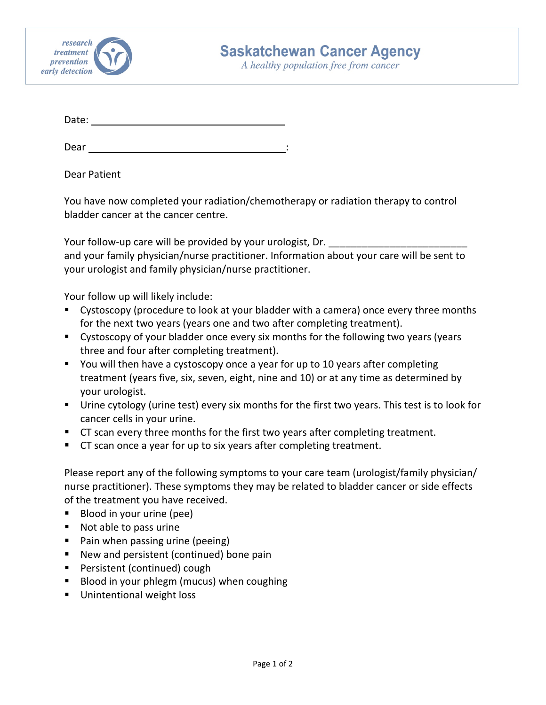

A healthy population free from cancer

Date:

Dear : and the state of the state of the state of the state of the state of the state of the state of the state of the state of the state of the state of the state of the state of the state of the state of the state of the

Dear Patient

You have now completed your radiation/chemotherapy or radiation therapy to control bladder cancer at the cancer centre.

Your follow-up care will be provided by your urologist, Dr. \_\_\_\_\_\_ and your family physician/nurse practitioner. Information about your care will be sent to your urologist and family physician/nurse practitioner.

Your follow up will likely include:

- Cystoscopy (procedure to look at your bladder with a camera) once every three months for the next two years (years one and two after completing treatment).
- Cystoscopy of your bladder once every six months for the following two years (years three and four after completing treatment).
- You will then have a cystoscopy once a year for up to 10 years after completing treatment (years five, six, seven, eight, nine and 10) or at any time as determined by your urologist.
- Urine cytology (urine test) every six months for the first two years. This test is to look for cancer cells in your urine.
- CT scan every three months for the first two years after completing treatment.
- CT scan once a year for up to six years after completing treatment.

Please report any of the following symptoms to your care team (urologist/family physician/ nurse practitioner). These symptoms they may be related to bladder cancer or side effects of the treatment you have received.

- Blood in your urine (pee)
- Not able to pass urine
- **Pain when passing urine (peeing)**
- New and persistent (continued) bone pain
- **Persistent (continued) cough**
- Blood in your phlegm (mucus) when coughing
- **Unintentional weight loss**